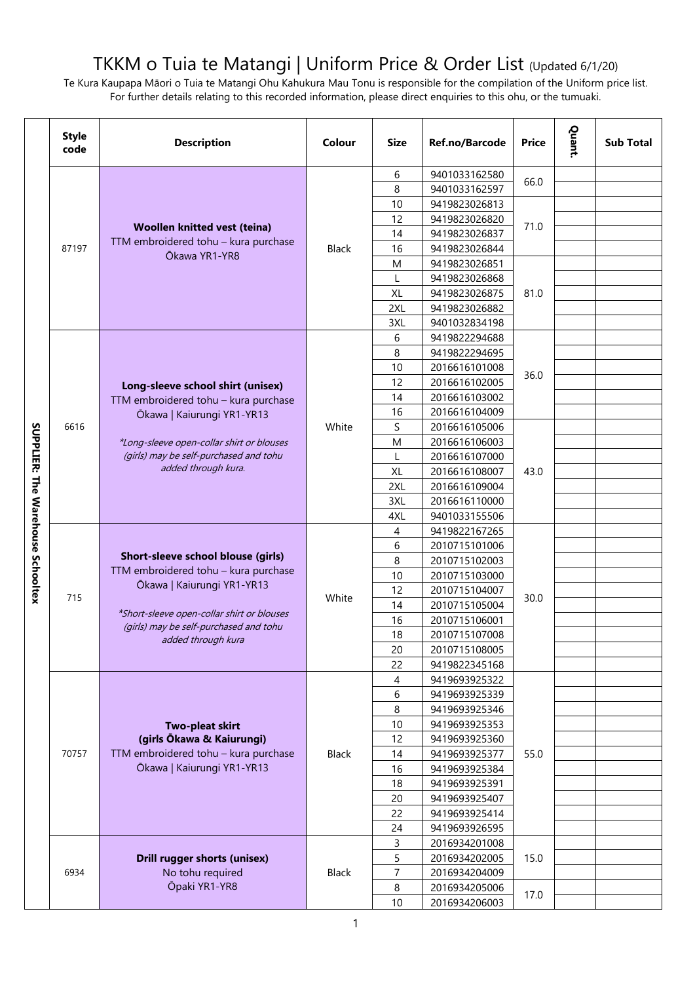## TKKM o Tuia te Matangi | Uniform Price & Order List (Updated 6/1/20)

Te Kura Kaupapa Māori o Tuia te Matangi Ohu Kahukura Mau Tonu is responsible for the compilation of the Uniform price list. For further details relating to this recorded information, please direct enquiries to this ohu, or the tumuaki.

|                                          | <b>Style</b><br>code | <b>Description</b>                         | Colour       | <b>Size</b>    | Ref.no/Barcode                 | <b>Price</b> | Quant. | <b>Sub Total</b> |
|------------------------------------------|----------------------|--------------------------------------------|--------------|----------------|--------------------------------|--------------|--------|------------------|
|                                          |                      |                                            |              | 6              | 9401033162580                  |              |        |                  |
|                                          |                      |                                            |              | 8              | 9401033162597                  | 66.0         |        |                  |
|                                          |                      |                                            |              | 10             | 9419823026813                  |              |        |                  |
|                                          |                      |                                            |              | 12             | 9419823026820                  |              |        |                  |
|                                          |                      | Woollen knitted vest (teina)               |              | 14             | 9419823026837                  | 71.0         |        |                  |
|                                          | 87197                | TTM embroidered tohu - kura purchase       | <b>Black</b> | 16             | 9419823026844                  |              |        |                  |
|                                          |                      | Ōkawa YR1-YR8                              |              | M              | 9419823026851                  |              |        |                  |
|                                          |                      |                                            |              | L              | 9419823026868                  |              |        |                  |
|                                          |                      |                                            |              | XL             | 9419823026875                  | 81.0         |        |                  |
|                                          |                      |                                            |              | 2XL            | 9419823026882                  |              |        |                  |
|                                          |                      |                                            |              | 3XL            | 9401032834198                  |              |        |                  |
|                                          |                      |                                            |              | 6              | 9419822294688                  |              |        |                  |
|                                          |                      |                                            |              | 8              | 9419822294695                  |              |        |                  |
|                                          |                      |                                            |              | 10             | 2016616101008                  | 36.0         |        |                  |
|                                          |                      | Long-sleeve school shirt (unisex)          |              | 12             | 2016616102005                  |              |        |                  |
|                                          | 6616                 | TTM embroidered tohu - kura purchase       |              | 14             | 2016616103002                  |              |        |                  |
|                                          |                      | Ōkawa   Kaiurungi YR1-YR13                 |              | 16             | 2016616104009                  |              |        |                  |
|                                          |                      |                                            | White        | S              | 2016616105006                  |              |        |                  |
|                                          |                      | *Long-sleeve open-collar shirt or blouses  |              | M              | 2016616106003                  |              |        |                  |
|                                          |                      | (girls) may be self-purchased and tohu     |              | L              | 2016616107000                  |              |        |                  |
|                                          |                      | added through kura.                        |              | XL             | 2016616108007                  | 43.0         |        |                  |
|                                          |                      |                                            |              | 2XL            | 2016616109004                  |              |        |                  |
| <b>SUPPLIER: The Warehouse Schooltex</b> |                      |                                            |              | 3XL            | 2016616110000                  |              |        |                  |
|                                          |                      |                                            |              | 4XL            | 9401033155506                  |              |        |                  |
|                                          |                      |                                            |              | 4              | 9419822167265                  |              |        |                  |
|                                          |                      | Short-sleeve school blouse (girls)         |              | 6              | 2010715101006                  |              |        |                  |
|                                          |                      | TTM embroidered tohu - kura purchase       |              | 8              | 2010715102003                  |              |        |                  |
|                                          |                      | Ōkawa   Kaiurungi YR1-YR13                 |              | 10             | 2010715103000                  |              |        |                  |
|                                          | 715                  |                                            | White        | 12             | 2010715104007                  | 30.0         |        |                  |
|                                          |                      | *Short-sleeve open-collar shirt or blouses |              | 14             | 2010715105004                  |              |        |                  |
|                                          |                      | (girls) may be self-purchased and tohu     |              | 16             | 2010715106001                  |              |        |                  |
|                                          |                      | added through kura                         |              | 18<br>20       | 2010715107008                  |              |        |                  |
|                                          |                      |                                            |              | 22             | 2010715108005<br>9419822345168 |              |        |                  |
|                                          |                      |                                            |              | 4              | 9419693925322                  |              |        |                  |
|                                          |                      |                                            |              | 6              | 9419693925339                  |              |        |                  |
|                                          |                      |                                            |              | 8              | 9419693925346                  |              |        |                  |
|                                          |                      | Two-pleat skirt                            |              | 10             | 9419693925353                  |              |        |                  |
|                                          |                      | (girls Ōkawa & Kaiurungi)                  |              | 12             | 9419693925360                  |              |        |                  |
|                                          | 70757                | TTM embroidered tohu - kura purchase       | <b>Black</b> | 14             | 9419693925377                  | 55.0         |        |                  |
|                                          |                      | Ōkawa   Kaiurungi YR1-YR13                 |              | 16             | 9419693925384                  |              |        |                  |
|                                          |                      |                                            |              | 18             | 9419693925391                  |              |        |                  |
|                                          |                      |                                            |              | 20             | 9419693925407                  |              |        |                  |
|                                          |                      |                                            |              | 22             | 9419693925414                  |              |        |                  |
|                                          |                      |                                            |              | 24             | 9419693926595                  |              |        |                  |
|                                          |                      |                                            |              | 3              | 2016934201008                  |              |        |                  |
|                                          |                      | <b>Drill rugger shorts (unisex)</b>        |              | 5              | 2016934202005                  | 15.0         |        |                  |
|                                          | 6934                 | No tohu required                           | <b>Black</b> | $\overline{7}$ | 2016934204009                  |              |        |                  |
|                                          |                      | Ōpaki YR1-YR8                              |              | 8              | 2016934205006                  |              |        |                  |
|                                          |                      |                                            |              | 10             | 2016934206003                  | 17.0         |        |                  |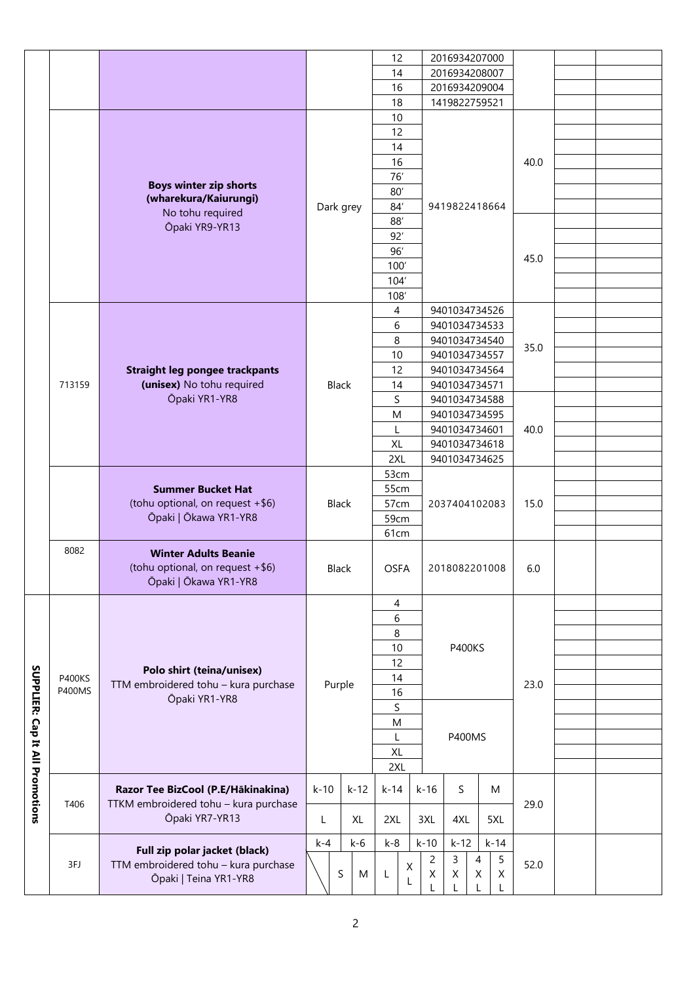|                                 |               |                                       |                  | 12          | 2016934207000                 |      |  |
|---------------------------------|---------------|---------------------------------------|------------------|-------------|-------------------------------|------|--|
|                                 |               |                                       |                  | 14          | 2016934208007                 |      |  |
|                                 |               |                                       |                  | 16          | 2016934209004                 |      |  |
|                                 |               |                                       |                  | 18          | 1419822759521                 |      |  |
|                                 |               |                                       |                  | 10          |                               |      |  |
|                                 |               |                                       |                  | 12          |                               |      |  |
|                                 |               |                                       |                  | 14          |                               |      |  |
|                                 |               |                                       |                  |             |                               |      |  |
|                                 |               |                                       |                  | 16          |                               | 40.0 |  |
|                                 |               | <b>Boys winter zip shorts</b>         |                  | 76          |                               |      |  |
|                                 |               | (wharekura/Kaiurungi)                 |                  | 80'         |                               |      |  |
|                                 |               |                                       | Dark grey        | 84'         | 9419822418664                 |      |  |
|                                 |               | No tohu required                      |                  | $88^\prime$ |                               |      |  |
|                                 |               | Ōpaki YR9-YR13                        |                  | 92'         |                               |      |  |
|                                 |               |                                       |                  | 96'         |                               |      |  |
|                                 |               |                                       |                  | 100'        |                               | 45.0 |  |
|                                 |               |                                       |                  |             |                               |      |  |
|                                 |               |                                       |                  | 104'        |                               |      |  |
|                                 |               |                                       |                  | 108         |                               |      |  |
|                                 |               |                                       |                  | 4           | 9401034734526                 |      |  |
|                                 |               |                                       |                  | 6           | 9401034734533                 |      |  |
|                                 |               |                                       |                  | 8           | 9401034734540                 |      |  |
|                                 |               |                                       |                  | 10          | 9401034734557                 | 35.0 |  |
|                                 |               | <b>Straight leg pongee trackpants</b> |                  | 12          | 9401034734564                 |      |  |
|                                 | 713159        | (unisex) No tohu required             | <b>Black</b>     | 14          | 9401034734571                 |      |  |
|                                 |               | Ōpaki YR1-YR8                         |                  | S           | 9401034734588                 |      |  |
|                                 |               |                                       |                  |             |                               |      |  |
|                                 |               |                                       |                  | M           | 9401034734595                 |      |  |
|                                 |               |                                       |                  | L           | 9401034734601                 | 40.0 |  |
|                                 |               |                                       |                  | <b>XL</b>   | 9401034734618                 |      |  |
|                                 |               |                                       |                  | 2XL         | 9401034734625                 |      |  |
|                                 |               |                                       |                  | 53cm        |                               |      |  |
|                                 |               | <b>Summer Bucket Hat</b>              |                  | 55cm        |                               | 15.0 |  |
|                                 |               | (tohu optional, on request +\$6)      | Black            | 57cm        | 2037404102083                 |      |  |
|                                 |               | Ōpaki   Ōkawa YR1-YR8                 |                  | 59cm        |                               |      |  |
|                                 |               |                                       |                  | 61cm        |                               |      |  |
|                                 |               |                                       |                  |             |                               |      |  |
|                                 | 8082          | <b>Winter Adults Beanie</b>           |                  |             |                               |      |  |
|                                 |               | (tohu optional, on request +\$6)      | <b>Black</b>     | <b>OSFA</b> | 2018082201008                 | 6.0  |  |
|                                 |               | Ōpaki   Ōkawa YR1-YR8                 |                  |             |                               |      |  |
|                                 |               |                                       |                  | 4           |                               |      |  |
|                                 |               |                                       |                  |             |                               |      |  |
|                                 |               |                                       |                  | 6           |                               |      |  |
|                                 |               |                                       |                  | 8           |                               |      |  |
|                                 |               |                                       |                  | 10          | <b>P400KS</b>                 |      |  |
|                                 |               | Polo shirt (teina/unisex)             |                  | 12          |                               |      |  |
|                                 | <b>P400KS</b> | TTM embroidered tohu - kura purchase  |                  | 14          |                               | 23.0 |  |
|                                 | <b>P400MS</b> |                                       | Purple           | 16          |                               |      |  |
|                                 |               | Ōpaki YR1-YR8                         |                  | S           |                               |      |  |
|                                 |               |                                       |                  | M           |                               |      |  |
|                                 |               |                                       |                  | L           | <b>P400MS</b>                 |      |  |
|                                 |               |                                       |                  | XL          |                               |      |  |
|                                 |               |                                       |                  |             |                               |      |  |
|                                 |               |                                       |                  | 2XL         |                               |      |  |
| SUPPLIER: Cap It All Promotions |               | Razor Tee BizCool (P.E/Hākinakina)    | $k-10$<br>$k-12$ | k-14        | S<br>$k-16$<br>M              |      |  |
|                                 | T406          | TTKM embroidered tohu - kura purchase |                  |             |                               | 29.0 |  |
|                                 |               | Ōpaki YR7-YR13                        | XL<br>L          | 2XL         | 3XL<br>4XL<br>5XL             |      |  |
|                                 |               |                                       |                  |             |                               |      |  |
|                                 |               |                                       | $k-6$<br>$k-4$   | $k - 8$     | $k-10$<br>$k-12$<br>$k-14$    |      |  |
|                                 |               | Full zip polar jacket (black)         |                  |             | 5<br>3<br>$\overline{c}$<br>4 |      |  |
|                                 | 3FJ           | TTM embroidered tohu - kura purchase  | S<br>M           | X<br>L      | Χ<br>Χ<br>Χ<br>Χ              | 52.0 |  |
|                                 |               | Ōpaki   Teina YR1-YR8                 |                  | L           |                               |      |  |
|                                 |               |                                       |                  |             |                               |      |  |